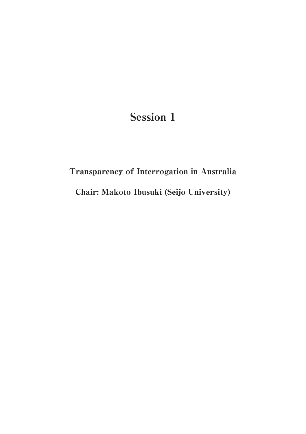## Session 1

# Transparency of Interrogation in Australia Chair: Makoto Ibusuki (Seijo University)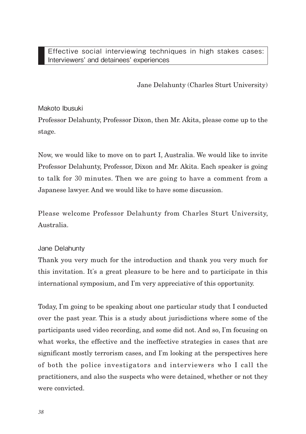Jane Delahunty (Charles Sturt University)

## Makoto Ibusuki

Professor Delahunty, Professor Dixon, then Mr. Akita, please come up to the stage.

Now, we would like to move on to part I, Australia. We would like to invite Professor Delahunty, Professor, Dixon and Mr. Akita. Each speaker is going to talk for 30 minutes. Then we are going to have a comment from a Japanese lawyer. And we would like to have some discussion.

Please welcome Professor Delahunty from Charles Sturt University, Australia.

## Jane Delahunty

Thank you very much for the introduction and thank you very much for this invitation. It's a great pleasure to be here and to participate in this international symposium, and I'm very appreciative of this opportunity.

Today, I'm going to be speaking about one particular study that I conducted over the past year. This is a study about jurisdictions where some of the participants used video recording, and some did not. And so, I'm focusing on what works, the effective and the ineffective strategies in cases that are significant mostly terrorism cases, and I'm looking at the perspectives here of both the police investigators and interviewers who I call the practitioners, and also the suspects who were detained, whether or not they were convicted.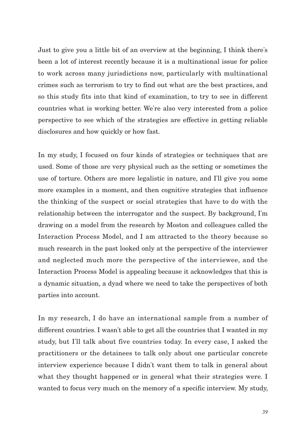Just to give you a little bit of an overview at the beginning, I think there's been a lot of interest recently because it is a multinational issue for police to work across many jurisdictions now, particularly with multinational crimes such as terrorism to try to find out what are the best practices, and so this study fits into that kind of examination, to try to see in different countries what is working better. We're also very interested from a police perspective to see which of the strategies are effective in getting reliable disclosures and how quickly or how fast.

In my study, I focused on four kinds of strategies or techniques that are used. Some of those are very physical such as the setting or sometimes the use of torture. Others are more legalistic in nature, and I'll give you some more examples in a moment, and then cognitive strategies that influence the thinking of the suspect or social strategies that have to do with the relationship between the interrogator and the suspect. By background, I'm drawing on a model from the research by Moston and colleagues called the Interaction Process Model, and I am attracted to the theory because so much research in the past looked only at the perspective of the interviewer and neglected much more the perspective of the interviewee, and the Interaction Process Model is appealing because it acknowledges that this is a dynamic situation, a dyad where we need to take the perspectives of both parties into account.

In my research, I do have an international sample from a number of different countries. I wasn't able to get all the countries that I wanted in my study, but I'll talk about five countries today. In every case, I asked the practitioners or the detainees to talk only about one particular concrete interview experience because I didn't want them to talk in general about what they thought happened or in general what their strategies were. I wanted to focus very much on the memory of a specific interview. My study,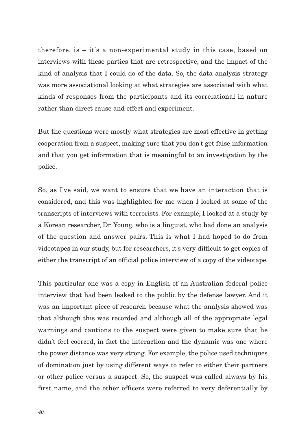therefore, is – it's a non-experimental study in this case, based on interviews with these parties that are retrospective, and the impact of the kind of analysis that I could do of the data. So, the data analysis strategy was more associational looking at what strategies are associated with what kinds of responses from the participants and its correlational in nature rather than direct cause and effect and experiment.

But the questions were mostly what strategies are most effective in getting cooperation from a suspect, making sure that you don't get false information and that you get information that is meaningful to an investigation by the police.

So, as I've said, we want to ensure that we have an interaction that is considered, and this was highlighted for me when I looked at some of the transcripts of interviews with terrorists. For example, I looked at a study by a Korean researcher, Dr. Young, who is a linguist, who had done an analysis of the question and answer pairs. This is what I had hoped to do from videotapes in our study, but for researchers, it's very difficult to get copies of either the transcript of an official police interview of a copy of the videotape.

This particular one was a copy in English of an Australian federal police interview that had been leaked to the public by the defense lawyer. And it was an important piece of research because what the analysis showed was that although this was recorded and although all of the appropriate legal warnings and cautions to the suspect were given to make sure that he didn't feel coerced, in fact the interaction and the dynamic was one where the power distance was very strong. For example, the police used techniques of domination just by using different ways to refer to either their partners or other police versus a suspect. So, the suspect was called always by his first name, and the other officers were referred to very deferentially by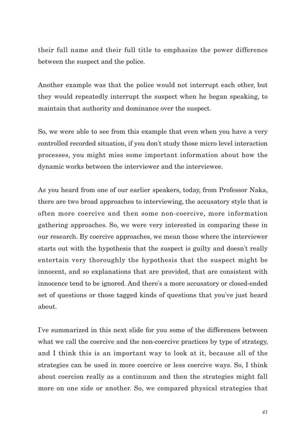their full name and their full title to emphasize the power difference between the suspect and the police.

Another example was that the police would not interrupt each other, but they would repeatedly interrupt the suspect when he began speaking, to maintain that authority and dominance over the suspect.

So, we were able to see from this example that even when you have a very controlled recorded situation, if you don't study those micro level interaction processes, you might miss some important information about how the dynamic works between the interviewer and the interviewee.

As you heard from one of our earlier speakers, today, from Professor Naka, there are two broad approaches to interviewing, the accusatory style that is often more coercive and then some non-coercive, more information gathering approaches. So, we were very interested in comparing these in our research. By coercive approaches, we mean those where the interviewer starts out with the hypothesis that the suspect is guilty and doesn't really entertain very thoroughly the hypothesis that the suspect might be innocent, and so explanations that are provided, that are consistent with innocence tend to be ignored. And there's a more accusatory or closed-ended set of questions or those tagged kinds of questions that you've just heard about.

I've summarized in this next slide for you some of the differences between what we call the coercive and the non-coercive practices by type of strategy, and I think this is an important way to look at it, because all of the strategies can be used in more coercive or less coercive ways. So, I think about coercion really as a continuum and then the strategies might fall more on one side or another. So, we compared physical strategies that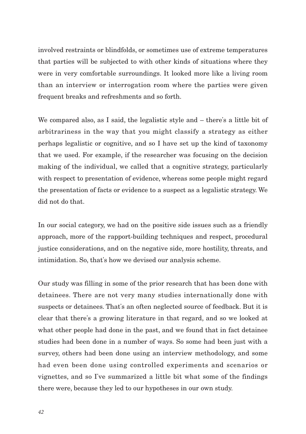involved restraints or blindfolds, or sometimes use of extreme temperatures that parties will be subjected to with other kinds of situations where they were in very comfortable surroundings. It looked more like a living room than an interview or interrogation room where the parties were given frequent breaks and refreshments and so forth.

We compared also, as I said, the legalistic style and – there's a little bit of arbitrariness in the way that you might classify a strategy as either perhaps legalistic or cognitive, and so I have set up the kind of taxonomy that we used. For example, if the researcher was focusing on the decision making of the individual, we called that a cognitive strategy, particularly with respect to presentation of evidence, whereas some people might regard the presentation of facts or evidence to a suspect as a legalistic strategy. We did not do that.

In our social category, we had on the positive side issues such as a friendly approach, more of the rapport-building techniques and respect, procedural justice considerations, and on the negative side, more hostility, threats, and intimidation. So, that's how we devised our analysis scheme.

Our study was filling in some of the prior research that has been done with detainees. There are not very many studies internationally done with suspects or detainees. That's an often neglected source of feedback. But it is clear that there's a growing literature in that regard, and so we looked at what other people had done in the past, and we found that in fact detainee studies had been done in a number of ways. So some had been just with a survey, others had been done using an interview methodology, and some had even been done using controlled experiments and scenarios or vignettes, and so I've summarized a little bit what some of the findings there were, because they led to our hypotheses in our own study.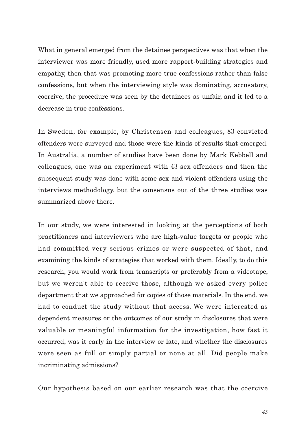What in general emerged from the detainee perspectives was that when the interviewer was more friendly, used more rapport-building strategies and empathy, then that was promoting more true confessions rather than false confessions, but when the interviewing style was dominating, accusatory, coercive, the procedure was seen by the detainees as unfair, and it led to a decrease in true confessions.

In Sweden, for example, by Christensen and colleagues, 83 convicted offenders were surveyed and those were the kinds of results that emerged. In Australia, a number of studies have been done by Mark Kebbell and colleagues, one was an experiment with 43 sex offenders and then the subsequent study was done with some sex and violent offenders using the interviews methodology, but the consensus out of the three studies was summarized above there.

In our study, we were interested in looking at the perceptions of both practitioners and interviewers who are high-value targets or people who had committed very serious crimes or were suspected of that, and examining the kinds of strategies that worked with them. Ideally, to do this research, you would work from transcripts or preferably from a videotape, but we weren't able to receive those, although we asked every police department that we approached for copies of those materials. In the end, we had to conduct the study without that access. We were interested as dependent measures or the outcomes of our study in disclosures that were valuable or meaningful information for the investigation, how fast it occurred, was it early in the interview or late, and whether the disclosures were seen as full or simply partial or none at all. Did people make incriminating admissions?

Our hypothesis based on our earlier research was that the coercive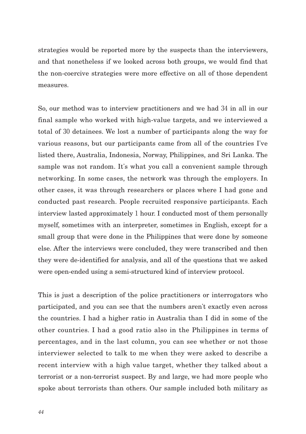strategies would be reported more by the suspects than the interviewers, and that nonetheless if we looked across both groups, we would find that the non-coercive strategies were more effective on all of those dependent measures.

So, our method was to interview practitioners and we had 34 in all in our final sample who worked with high-value targets, and we interviewed a total of 30 detainees. We lost a number of participants along the way for various reasons, but our participants came from all of the countries I've listed there, Australia, Indonesia, Norway, Philippines, and Sri Lanka. The sample was not random. It's what you call a convenient sample through networking. In some cases, the network was through the employers. In other cases, it was through researchers or places where I had gone and conducted past research. People recruited responsive participants. Each interview lasted approximately 1 hour. I conducted most of them personally myself, sometimes with an interpreter, sometimes in English, except for a small group that were done in the Philippines that were done by someone else. After the interviews were concluded, they were transcribed and then they were de-identified for analysis, and all of the questions that we asked were open-ended using a semi-structured kind of interview protocol.

This is just a description of the police practitioners or interrogators who participated, and you can see that the numbers aren't exactly even across the countries. I had a higher ratio in Australia than I did in some of the other countries. I had a good ratio also in the Philippines in terms of percentages, and in the last column, you can see whether or not those interviewer selected to talk to me when they were asked to describe a recent interview with a high value target, whether they talked about a terrorist or a non-terrorist suspect. By and large, we had more people who spoke about terrorists than others. Our sample included both military as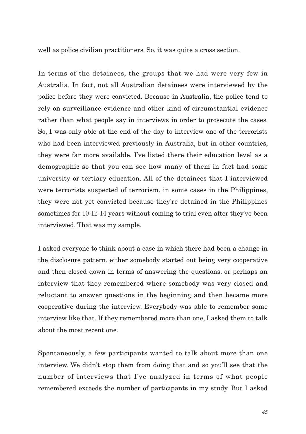well as police civilian practitioners. So, it was quite a cross section.

In terms of the detainees, the groups that we had were very few in Australia. In fact, not all Australian detainees were interviewed by the police before they were convicted. Because in Australia, the police tend to rely on surveillance evidence and other kind of circumstantial evidence rather than what people say in interviews in order to prosecute the cases. So, I was only able at the end of the day to interview one of the terrorists who had been interviewed previously in Australia, but in other countries, they were far more available. I've listed there their education level as a demographic so that you can see how many of them in fact had some university or tertiary education. All of the detainees that I interviewed were terrorists suspected of terrorism, in some cases in the Philippines, they were not yet convicted because they're detained in the Philippines sometimes for 10-12-14 years without coming to trial even after they've been interviewed. That was my sample.

I asked everyone to think about a case in which there had been a change in the disclosure pattern, either somebody started out being very cooperative and then closed down in terms of answering the questions, or perhaps an interview that they remembered where somebody was very closed and reluctant to answer questions in the beginning and then became more cooperative during the interview. Everybody was able to remember some interview like that. If they remembered more than one, I asked them to talk about the most recent one.

Spontaneously, a few participants wanted to talk about more than one interview. We didn't stop them from doing that and so you'll see that the number of interviews that I've analyzed in terms of what people remembered exceeds the number of participants in my study. But I asked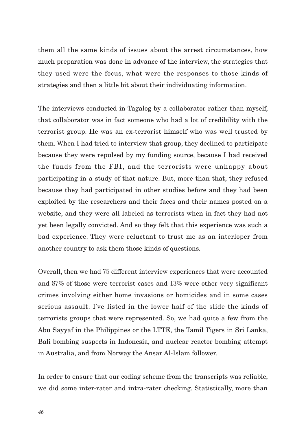them all the same kinds of issues about the arrest circumstances, how much preparation was done in advance of the interview, the strategies that they used were the focus, what were the responses to those kinds of strategies and then a little bit about their individuating information.

The interviews conducted in Tagalog by a collaborator rather than myself, that collaborator was in fact someone who had a lot of credibility with the terrorist group. He was an ex-terrorist himself who was well trusted by them. When I had tried to interview that group, they declined to participate because they were repulsed by my funding source, because I had received the funds from the FBI, and the terrorists were unhappy about participating in a study of that nature. But, more than that, they refused because they had participated in other studies before and they had been exploited by the researchers and their faces and their names posted on a website, and they were all labeled as terrorists when in fact they had not yet been legally convicted. And so they felt that this experience was such a bad experience. They were reluctant to trust me as an interloper from another country to ask them those kinds of questions.

Overall, then we had 75 different interview experiences that were accounted and 87% of those were terrorist cases and 13% were other very significant crimes involving either home invasions or homicides and in some cases serious assault. I've listed in the lower half of the slide the kinds of terrorists groups that were represented. So, we had quite a few from the Abu Sayyaf in the Philippines or the LTTE, the Tamil Tigers in Sri Lanka, Bali bombing suspects in Indonesia, and nuclear reactor bombing attempt in Australia, and from Norway the Ansar Al-Islam follower.

In order to ensure that our coding scheme from the transcripts was reliable, we did some inter-rater and intra-rater checking. Statistically, more than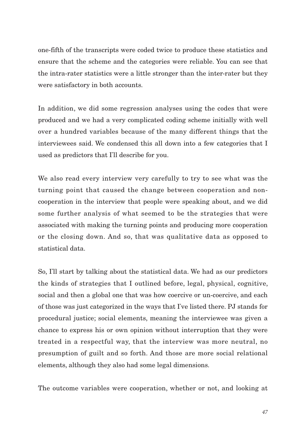one-fifth of the transcripts were coded twice to produce these statistics and ensure that the scheme and the categories were reliable. You can see that the intra-rater statistics were a little stronger than the inter-rater but they were satisfactory in both accounts.

In addition, we did some regression analyses using the codes that were produced and we had a very complicated coding scheme initially with well over a hundred variables because of the many different things that the interviewees said. We condensed this all down into a few categories that I used as predictors that I'll describe for you.

We also read every interview very carefully to try to see what was the turning point that caused the change between cooperation and noncooperation in the interview that people were speaking about, and we did some further analysis of what seemed to be the strategies that were associated with making the turning points and producing more cooperation or the closing down. And so, that was qualitative data as opposed to statistical data.

So, I'll start by talking about the statistical data. We had as our predictors the kinds of strategies that I outlined before, legal, physical, cognitive, social and then a global one that was how coercive or un-coercive, and each of those was just categorized in the ways that I've listed there. PJ stands for procedural justice; social elements, meaning the interviewee was given a chance to express his or own opinion without interruption that they were treated in a respectful way, that the interview was more neutral, no presumption of guilt and so forth. And those are more social relational elements, although they also had some legal dimensions.

The outcome variables were cooperation, whether or not, and looking at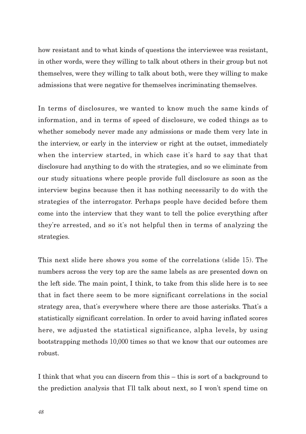how resistant and to what kinds of questions the interviewee was resistant, in other words, were they willing to talk about others in their group but not themselves, were they willing to talk about both, were they willing to make admissions that were negative for themselves incriminating themselves.

In terms of disclosures, we wanted to know much the same kinds of information, and in terms of speed of disclosure, we coded things as to whether somebody never made any admissions or made them very late in the interview, or early in the interview or right at the outset, immediately when the interview started, in which case it's hard to say that that disclosure had anything to do with the strategies, and so we eliminate from our study situations where people provide full disclosure as soon as the interview begins because then it has nothing necessarily to do with the strategies of the interrogator. Perhaps people have decided before them come into the interview that they want to tell the police everything after they're arrested, and so it's not helpful then in terms of analyzing the strategies.

This next slide here shows you some of the correlations (slide 15). The numbers across the very top are the same labels as are presented down on the left side. The main point, I think, to take from this slide here is to see that in fact there seem to be more significant correlations in the social strategy area, that's everywhere where there are those asterisks. That's a statistically significant correlation. In order to avoid having inflated scores here, we adjusted the statistical significance, alpha levels, by using bootstrapping methods 10,000 times so that we know that our outcomes are robust.

I think that what you can discern from this – this is sort of a background to the prediction analysis that I'll talk about next, so I won't spend time on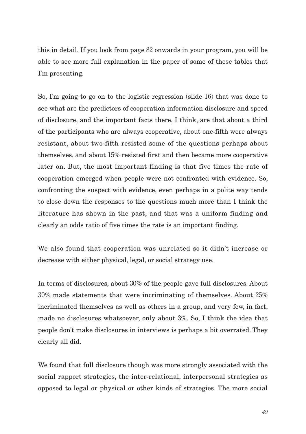this in detail. If you look from page 82 onwards in your program, you will be able to see more full explanation in the paper of some of these tables that I'm presenting.

So, I'm going to go on to the logistic regression (slide 16) that was done to see what are the predictors of cooperation information disclosure and speed of disclosure, and the important facts there, I think, are that about a third of the participants who are always cooperative, about one-fifth were always resistant, about two-fifth resisted some of the questions perhaps about themselves, and about 15% resisted first and then became more cooperative later on. But, the most important finding is that five times the rate of cooperation emerged when people were not confronted with evidence. So, confronting the suspect with evidence, even perhaps in a polite way tends to close down the responses to the questions much more than I think the literature has shown in the past, and that was a uniform finding and clearly an odds ratio of five times the rate is an important finding.

We also found that cooperation was unrelated so it didn't increase or decrease with either physical, legal, or social strategy use.

In terms of disclosures, about 30% of the people gave full disclosures. About 30% made statements that were incriminating of themselves. About 25% incriminated themselves as well as others in a group, and very few, in fact, made no disclosures whatsoever, only about 3%. So, I think the idea that people don't make disclosures in interviews is perhaps a bit overrated. They clearly all did.

We found that full disclosure though was more strongly associated with the social rapport strategies, the inter-relational, interpersonal strategies as opposed to legal or physical or other kinds of strategies. The more social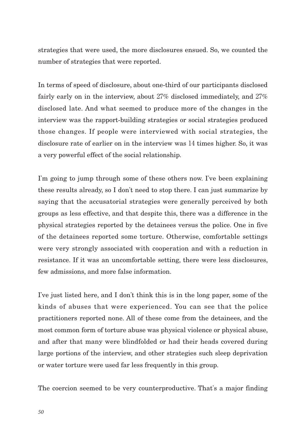strategies that were used, the more disclosures ensued. So, we counted the number of strategies that were reported.

In terms of speed of disclosure, about one-third of our participants disclosed fairly early on in the interview, about 27% disclosed immediately, and 27% disclosed late. And what seemed to produce more of the changes in the interview was the rapport-building strategies or social strategies produced those changes. If people were interviewed with social strategies, the disclosure rate of earlier on in the interview was 14 times higher. So, it was a very powerful effect of the social relationship.

I'm going to jump through some of these others now. I've been explaining these results already, so I don't need to stop there. I can just summarize by saying that the accusatorial strategies were generally perceived by both groups as less effective, and that despite this, there was a difference in the physical strategies reported by the detainees versus the police. One in five of the detainees reported some torture. Otherwise, comfortable settings were very strongly associated with cooperation and with a reduction in resistance. If it was an uncomfortable setting, there were less disclosures, few admissions, and more false information.

I've just listed here, and I don't think this is in the long paper, some of the kinds of abuses that were experienced. You can see that the police practitioners reported none. All of these come from the detainees, and the most common form of torture abuse was physical violence or physical abuse, and after that many were blindfolded or had their heads covered during large portions of the interview, and other strategies such sleep deprivation or water torture were used far less frequently in this group.

The coercion seemed to be very counterproductive. That's a major finding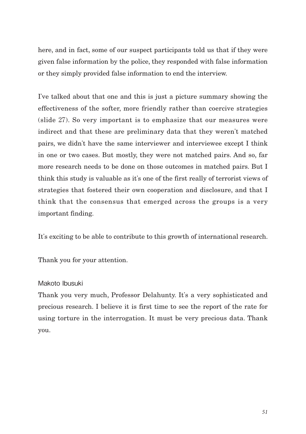here, and in fact, some of our suspect participants told us that if they were given false information by the police, they responded with false information or they simply provided false information to end the interview.

I've talked about that one and this is just a picture summary showing the effectiveness of the softer, more friendly rather than coercive strategies (slide 27). So very important is to emphasize that our measures were indirect and that these are preliminary data that they weren't matched pairs, we didn't have the same interviewer and interviewee except I think in one or two cases. But mostly, they were not matched pairs. And so, far more research needs to be done on those outcomes in matched pairs. But I think this study is valuable as it's one of the first really of terrorist views of strategies that fostered their own cooperation and disclosure, and that I think that the consensus that emerged across the groups is a very important finding.

It's exciting to be able to contribute to this growth of international research.

Thank you for your attention.

## Makoto Ibusuki

Thank you very much, Professor Delahunty. It's a very sophisticated and precious research. I believe it is first time to see the report of the rate for using torture in the interrogation. It must be very precious data. Thank you.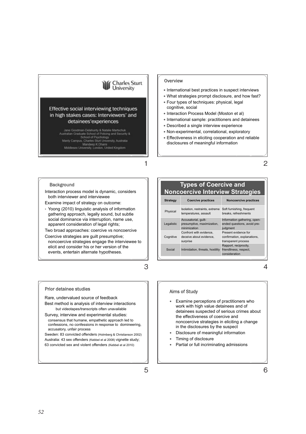## **Charles Sturt**<br>University

Effective social interviewing techniques in high stakes cases: Interviewers' and detainees'experiences

> Jane Goodman-Delahunty & Natalie Martschuk Australian Graduate School of Policing and Security & School of Psychology Manly Campus, Charles Sturt University, Australia Mandeep K Dhami Middlesex University, London, United Kingdom

#### **Overview**

- International best practices in suspect interviews
- What strategies prompt disclosure, and how fast?
- y Four types of techniques: physical, legal cognitive, social
- Interaction Process Model (Moston et al)
- International sample: practitioners and detainees
- Described a single interview experience
- y Non-experimental, correlational, exploratory
- Effectiveness in eliciting cooperation and reliable disclosures of meaningful information

2

#### **Background**

兎児兠儛克兗儛儧儻 ID rId2 僔儈充兠儜 儵兠儨傲儹儅儈兏僑储僰僤僁價働傽僅傏

Interaction process model is dynamic, considers both interviewer and interviewee

Examine impact of strategy on outcome:

• Yoong (2010) linguistic analysis of information gathering approach, legally sound, but subtle social dominance via interruption, name use, apparent consideration of legal rights;

Two broad approaches: coercive vs noncoercive

Coercive strategies are guilt presumptive; noncoercive strategies engage the interviewee to elicit and consider his or her version of the events, entertain alternate hypotheses.

3

1

#### Prior detainee studies

Rare, undervalued source of feedback Best method is analysis of interview interactions

but videotapes/transcripts often unavailable

Survey, interview and experimental studies: consensus that humane, empathetic approach led to confessions, no confessions in response to domineering, accusatory, unfair process

Sweden: 83 convicted offenders (Holmberg & Christianson 2002) Australia: 43 sex offenders (Kebbel et al 2008) vignette study; 63 convicted sex and violent offenders (Kebbel et al 2010)

## **Types of Coercive and Noncoercive Interview Strategies**

| <b>Strategy</b> | <b>Coercive practices</b>                                          | Noncoercive practices                                                      |
|-----------------|--------------------------------------------------------------------|----------------------------------------------------------------------------|
| Physical        | Isolation, restraints, extreme<br>temperatures, assault            | Soft furnishing, frequent<br>breaks, refreshments                          |
| Legalistic      | Accusatorial, guilt-<br>presumptive, maximization,<br>minimization | Information gathering, open-<br>ended questions, avoid pre-<br>judgment    |
| Cognitive       | Confront with evidence.<br>deceive about evidence.<br>surprise     | Present evidence for<br>confirmation, explanations,<br>transparent process |
| Social          | Intimidation, threats, hostility                                   | Rapport, reciprocity,<br>friendliness, respect.<br>consideration           |

4

#### Aims of Study

- y Examine perceptions of practitioners who work with high value detainees and of detainees suspected of serious crimes about the effectiveness of coercive and noncoercive strategies in eliciting a change in the disclosures by the suspect
- y Disclosure of meaningful information
- Timing of disclosure
- y Partial or full incriminating admissions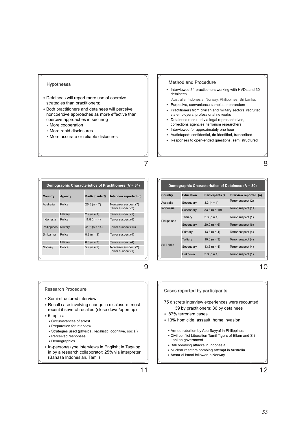#### Hypotheses

- y Detainees will report more use of coercive strategies than practitioners;
- Both practitioners and detainees will perceive noncoercive approaches as more effective than coercive approaches in securing
	- More cooperation
	- More rapid disclosures
	- More accurate or reliable dislosures

#### Method and Procedure

- Interviewed 34 practitioners working with HVDs and 30 detainees
- Australia, Indonesia, Norway, Philippines, Sri Lanka. y Purposive, convenience samples, nonrandom
- Practitioners from civilian and military sectors, recruited via employers, professional networks
- Detainees recruited via legal representatives, corrections agencies, terrorism researchers
- Interviewed for approximately one hour
- y Audiotaped: confidential, de-identified, transcribed
- Responses to open-ended questions, semi structured

8

| Demographic Characteristics of Practitioners ( $N = 34$ ) |          |                       |                                             |  |  |
|-----------------------------------------------------------|----------|-----------------------|---------------------------------------------|--|--|
| Country                                                   | Agency   | <b>Participants %</b> | Interview reported (n)                      |  |  |
| Australia                                                 | Police   | $26.5(n = 7)$         | Nonterror suspect (7)<br>Terror suspect (2) |  |  |
|                                                           | Military | $2.9(n = 1)$          | Terror suspect (1)                          |  |  |
| Indonesia                                                 | Police   | 11.8 ( $n = 4$ )      | Terror suspect (4)                          |  |  |
| Philippines                                               | Military | $41.2(n = 14)$        | Terror suspect (14)                         |  |  |
| Sri Lanka                                                 | Police   | $8.8(n = 3)$          | Terror suspect (4)                          |  |  |
|                                                           | Military | $8.8(n = 3)$          | Terror suspect (4)                          |  |  |
| Norway                                                    | Police   | $5.9(n = 2)$          | Nonterror suspect (2)<br>Terror suspect (1) |  |  |

| Demographic Characteristics of Detainees ( $N = 30$ ) |           |                |                        |  |  |
|-------------------------------------------------------|-----------|----------------|------------------------|--|--|
| Country                                               | Education | Participants % | Interview reported (n) |  |  |
| Australia                                             | Secondary | $3.3(n = 1)$   | Terror suspect (2)     |  |  |
| Indonesia                                             | Secondary | $33.3(n = 10)$ | Terror suspect (14)    |  |  |
| Philippines                                           | Tertiary  | $3.3(n = 1)$   | Terror suspect (1)     |  |  |
|                                                       | Secondary | $20.0(n = 6)$  | Terror suspect (6)     |  |  |
|                                                       | Primary   | $13.3(n = 4)$  | Terror suspect (4)     |  |  |
| Sri Lanka                                             | Tertiary  | $10.0 (n = 3)$ | Terror suspect (4)     |  |  |
|                                                       | Secondary | $13.3(n = 4)$  | Terror suspect (4)     |  |  |
|                                                       | Unknown   | $3.3(n = 1)$   | Terror suspect (1)     |  |  |

10

#### Research Procedure

- Semi-structured interview
- Recall case involving change in disclosure, most recent if several recalled (close down/open up)
- $5$  topics:
	- y Circumstances of arrest
	- **Preparation for interview**
	- Strategies used (physical, legalistic, cognitive, social)
	- Perceived responses
	- Demographics
- In-person/skype interviews in English; in Tagalog in by a research collaborator; 25% via interpreter (Bahasa Indonesian, Tamil)

75 discrete interview experiences were recounted Cases reported by participants

- 39 by practitioners; 36 by detainees
- \* 87% terrorism cases
- $*$  13% homicide, assault, home invasion
	- y Armed rebellion by Abu Sayyaf in Philippines
	- y Civil conflict Liberation Tamil Tigers of Ellam and Sri Lankan government
- Bali bombing attacks in Indonesia
- y Nuclear reactors bombing attempt in Australia
- y Ansar al Ismal follower in Norway

7

9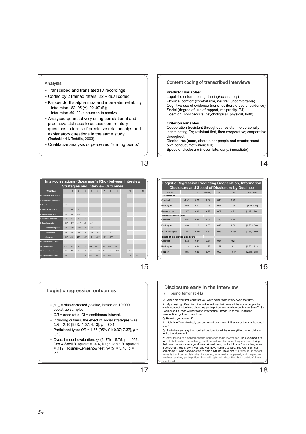#### Analysis

- Transcribed and translated IV recordings
- y Coded by 2 trained raters, 22% dual coded
- y Krippendorff's alpha intra and inter-rater reliability Intra-rater: .82-.95 (A) .90-.97 (B); Inter-rater: .69-.90, discussion to resolve
- Analysed quantitatively using correlational and predictive statistics to assess confirmatory questions in terms of predictive relationships and explanatory questions in the same study (Tashakkori & Teddlie, 2003).
- Qualitative analysis of perceived "turning points"

#### **Inter-correlations (Spearman's Rho) between Interview Strategies and Interview Outcomes Variable** 1 2 3 4 5 6 7 8 9 10 11 12 **INTERVIEW STRATEGIES 1. Practitioner preparation** - **Contract Contract**  $2.62<sub>°</sub>$ **3. Physical discomfort** .11 .44\*\* - **Contract 4. Interview approach** .32\* .58\*\* .35\*\* - **5. Presented evidence** .24 -.04 .18 .10 - **6. Social strategies** .38\* -.31\*\* -.41\*\* -.20 .24\* - **7. Procedural justice** .30 -.38\*\* -.32\*\* -.23\* .32\*\* .74\*\* - **CONTRACTOR 8. Reciprocity** .08 -.09 -.35\*\* -.05 .14 .70\*\* .27\* - **9. Rapport** .33\* -.23 -.24\* -.24\* .15 .82\*\* .49\*\* .36\*\* - **The Common INTERVIEW OUTCOMES 10. Cooperation** -.14 .13 -.04 -.11 -.24\* -.05 -.15 -.01 .04 - **11. Information disclosure** .11 .12 -.19 -.05 .04 .34\*\* -.13 .31 .33\*\* .19 - 12. Speed of disclosure ... 20 .06 .07 -.03 -.02 .01 -.06 -.05 .12 .38\* .04 <sup>-</sup>

15

13

#### **Logistic regression outcomes**

- y *pcorr* = bias-corrected *p*-value, based on 10,000 bootstrap samples;
- y *OR =* odds ratio; CI = confidence interval.
- y Including outliers, the effect of social strategies was *OR* = 2.10 [95%: 1.07; 4.13], *p* = .031,
- y Participant type: *OR* = 1.65 [95% CI: 0.37; 7.37], *p* = .510;
- Overall model evaluation:  $\chi^2$  (2, 75) = 5.75, p = .056, Cox & Snell R square = .074, Nagelkerke R squared  $=$  .119; Hosmer-Lemeshow test:  $x^2$  (5) = 3.78, p = .581

#### Content coding of transcribed interviews

#### **Predictor variables**:

Legalistic (information gathering/accusatory) Physical comfort (comfortable, neutral; uncomfortable) Cognitive use of evidence (none, deliberate use of evidence) Social (degree of use of rapport, reciprocity, PJ) Coercion (noncoercive, psychological, physical, both)

#### **Criterion variables**

Cooperation (resistant throughout; resistant to personally incriminating Qs; resistant first, then cooperative; cooperative throughout) Disclosures (none, about other people and events; about own conduct/motivation; full)

Speed of disclosure (never, late, early, immediate)

14

|                                        |         |           |                       |          | Disclosure and Speed of Disclosure by Detainee |               |
|----------------------------------------|---------|-----------|-----------------------|----------|------------------------------------------------|---------------|
| Predictor                              | R       | <b>SF</b> | Wald's y <sup>2</sup> | $\Omega$ | OR                                             | 95% CLOR      |
| Cooperation                            |         |           |                       |          |                                                |               |
| Constant                               | $-1.48$ | 0.58      | 6.62                  | 010      | 0.23                                           |               |
| Partic type                            | 0.95    | 0.51      | 2.49                  | 082      | 258                                            | [0.96: 6.96]  |
| Fvidence use                           | 1.67    | 0.60      | 6.83                  | 009      | 481                                            | [1.48: 15.61] |
| <b>Information Disclosure</b>          |         |           |                       |          |                                                |               |
| Constant                               | 0.15    | 0.54      | 0.08                  | 780      | 116                                            |               |
| Partic type                            | 0.96    | 1 19      | 0.65                  | 419      | 282                                            | (0.25: 27.09) |
| Social strategies                      | 1.44    | 0.69      | <b>5.84</b>           | 016      | $4.23^{*}$                                     | [1.31: 13.60] |
| <b>Speed of Information Disclosure</b> |         |           |                       |          |                                                |               |
| Constant                               | $-1.66$ | 0.81      | 3.61                  | 057      | 0.21                                           |               |
| Partic type                            | 1.13    | 0.84      | 1.82                  | 177      | 3.11                                           | (0.60: 16.13) |
| Rapport                                | 285     | 38.0      | 9.44                  | 002      | 14 17                                          | [2.61: 76.88] |

16

#### Disclosure early in the interview

(Filippino terrorist 41)

Q: When did you first learn that you were going to be interviewed that day?

A: My arresting officer from the police told me that there will be some people that<br>would conduct interviews about my participation and involvement in Abu Sayaff. So<br>I was asked if I was willing to give information. It was

Q: How did you respond?

A: I told him "Yes. Anybody can come and ask me and I'll answer them as best as I can."

Q: And when you say that you had decided to tell them everything, when did you make that decision?<br>
A: After talking to a policeman who bennessed to be lawers too. He explained it to

**SCHOOL OF PSYCHOLOGY & AUSTRALIAN GRADUATE SCHOOL OF POLICING, JDELAHUNTY@CSU.EDU.AU** A: After talking to a policeman who happened to be lawyer, too. He explained it to<br>me. He befriended me, actually, and I considered him one of my advisors during<br>that time. He was a very good man. An old man, but he told a policeman. You know, if you talk, you have nothing to lose. But you might gain<br>something." I was not expecting to gain anything. I told him "Sir, what is important<br>to me is that I can explain what happened, what really h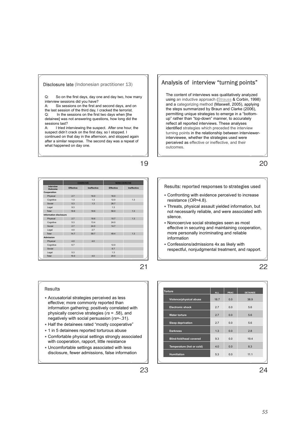#### Disclosure late (Indonesian practitioner 13)

Q: So on the first days, day one and day two, how many interview sessions did you have?

A: Six sessions on the first and second days, and on the last session of the third day, I cracked the terrorist.<br> $\Omega$ : In the sessions on the first two days when I the In the sessions on the first two days when [the detainee] was not answering questions, how long did the sessions last?

A: I tried interviewing the suspect. After one hour, the suspect didn't crack on the first day, so I stopped. I continued on that day in the afternoon, and stopped again after a similar response. The second day was a repeat of what happened on day one.

|                        |                  | COFRONE     | <b>NONCOFRCIVE</b> |             |
|------------------------|------------------|-------------|--------------------|-------------|
| Interview<br>Outcome   | <b>Effective</b> | Ineffective | <b>Effective</b>   | Ineffective |
| Cooperation            |                  |             |                    |             |
| Physical               | 2.7              | 16.0        | 16.0               |             |
| Cognitive              | 1.3              | 13          | 120                | 1.3         |
| Social                 | 63               | 13          | 26.7               |             |
| Legal                  | 9.3              |             | 13                 |             |
| Total                  | 18.6             | 18.6        | 56.0               | 1.3         |
| Information disclosure |                  |             |                    |             |
| Physical               | 2.7              | 186         | 107                | 1.3         |
| Cognitive              | 63               | 13.4        | 240                |             |
| Social                 | 2.7              | 24.0        | 14.7               |             |
| Legal                  | 40               | 27          |                    |             |
| Total                  | 147              | <b>587</b>  | 49.4               | 13          |
| Admission              |                  |             |                    |             |
| Physical               | 40               | 40          |                    |             |
| Cognitive              | 67               |             | 120                |             |
| Social                 |                  |             | 6.7                |             |
| Legal                  | 5.3              |             | 1.3                |             |
| Total                  | 16.0             | 4.0         | 20.0               |             |

21

19

#### Results

- y Accusatorial strategies perceived as less effective; more commonly reported than information gathering; positively correlated with physically coercive strategies (*rs* = .58), and negatively with social persuasion (*rs*=-.31).
- y Half the detainees rated "mostly cooperative"
- 1 in 5 detainees reported torturous abuse
- y Comfortable physical settings strongly associated with cooperation, rapport, little resistance
- y Uncomfortable settings associated with less disclosure, fewer admissions, false information

## Analysis of interview "turning points"

The content of interviews was qualitatively analyzed using an inductive approach (Strauss & Corbin, 1998) and a categorizing method (Maxwell, 2005), applying the steps summarized by Braun and Clarke (2006), permitting unique strategies to emerge in a "bottomup" rather than "top-down" manner, to accurately reflect all reported interviews. These analyses identified strategies which preceded the interview turning points in the relationship between interviewerinterviewee, whether the strategies used were perceived as effective or ineffective, and their outcomes.

20

#### Results: reported responses to strategies used

- Confronting with evidence perceived to increase resistance (*OR*=4.8).
- Threats, physical assault yielded information, but not necessarily reliable, and were associated with silence.
- Noncoercive social strategies seen as most effective in securing and maintaining cooperation, more personally incriminating and reliable information
- y Confessions/admissions 4x as likely with respectful, nonjudgmental treatment, and rapport.

| Torture                   | <b>ALL</b> | PRAC           | <b>DETAINEE</b> |
|---------------------------|------------|----------------|-----------------|
| Violence/physical abuse   | 18.7       | 0 <sub>0</sub> | 389             |
| <b>Electronic shock</b>   | 27         | 0 <sub>0</sub> | 56              |
| <b>Water torture</b>      | 27         | 0 <sub>0</sub> | 56              |
| <b>Sleep deprivation</b>  | 27         | 0 <sub>0</sub> | 56              |
| <b>Darkness</b>           | 1.3        | 0 <sub>0</sub> | 28              |
| Blind-fold/head covered   | 9.3        | 0 <sub>0</sub> | 194             |
| Temperature (hot or cold) | 4.0        | 0.0            | 8.3             |
| <b>Humiliation</b>        | 5.3        | 0 <sub>0</sub> | 1111            |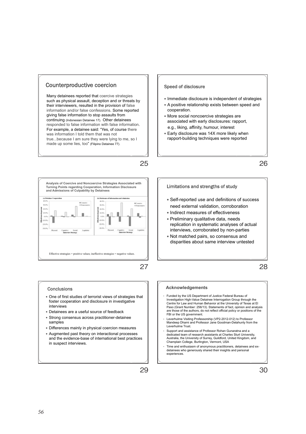#### Counterproductive coercion

Many detainees reported that coercive strategies such as physical assault, deception and or threats by their interviewers, resulted in the provision of false information and/or false confessions. Some reported giving false information to stop assaults from continuing (Indonesian Detainee 17). Other detainees responded to false information with false information. For example, a detainee said: "Yes, of course there was information I told them that was not true...because I am sure they were lying to me, so I made up some lies, too" (Filipino Detainee 77).



## 27

25

#### Conclusions

- One of first studies of terrorist views of strategies that foster cooperation and disclosure in investigative interviews
- Detainees are a useful source of feedback
- Strong consensus across practitioner-detainee samples
- Differences mainly in physical coercion measures
- Augmented past theory on interactional processes and the evidence-base of international best practices in suspect interviews.



- Immediate disclosure is independent of strategies
- A positive relationship exists between speed and cooperation.
- More social noncoercive strategies are associated with early disclosures: rapport, e.g., liking, affinity, humour, interest
- **Early disclosure was 14X more likely when** rapport-building techniques were reported

26

#### Limitations and strengths of study

- Self-reported use and definitions of success need external validation, corroboration
- Indirect measures of effectiveness
- Preliminary qualitative data, needs replication in systematic analyses of actual interviews, corroborated by non-parties
- y Not matched pairs, so consensus and disparities about same interview untested

28

#### **Acknowledgements**

- Funded by the US Department of Justice Federal Bureau of Investigation High-Value Detainee Interrogation Group through the Centre for Law and Human Behavior at the University of Texas at El Paso (Grant Number: 256/13). Statements of fact, opinion and analysis are those of the authors, do not reflect official policy or positions of the FBI or the US government.
- Leverhulme Visiting Professorship (VP2-2012-012) to Professor Mandeep Dhami and Professor Jane Goodman-Delahunty from the Leverhulme Trust.
- Support and assistance of Professor Rohan Gunaratna and a dedicated team of research assistants at Charles Sturt University, Australia, the University of Surrey, Guildford, United Kingdom, and Champlain College, Burlington, Vermont, USA
- Time and enthusiasm of anonymous practitioners, detainees and exdetainees who generously shared their insights and personal experiences.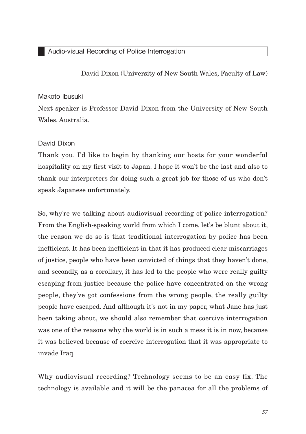David Dixon (University of New South Wales, Faculty of Law)

## Makoto Ibusuki

Next speaker is Professor David Dixon from the University of New South Wales, Australia.

## David Dixon

Thank you. I'd like to begin by thanking our hosts for your wonderful hospitality on my first visit to Japan. I hope it won't be the last and also to thank our interpreters for doing such a great job for those of us who don't speak Japanese unfortunately.

So, why're we talking about audiovisual recording of police interrogation? From the English-speaking world from which I come, let's be blunt about it, the reason we do so is that traditional interrogation by police has been inefficient. It has been inefficient in that it has produced clear miscarriages of justice, people who have been convicted of things that they haven't done, and secondly, as a corollary, it has led to the people who were really guilty escaping from justice because the police have concentrated on the wrong people, they've got confessions from the wrong people, the really guilty people have escaped. And although it's not in my paper, what Jane has just been taking about, we should also remember that coercive interrogation was one of the reasons why the world is in such a mess it is in now, because it was believed because of coercive interrogation that it was appropriate to invade Iraq.

Why audiovisual recording? Technology seems to be an easy fix. The technology is available and it will be the panacea for all the problems of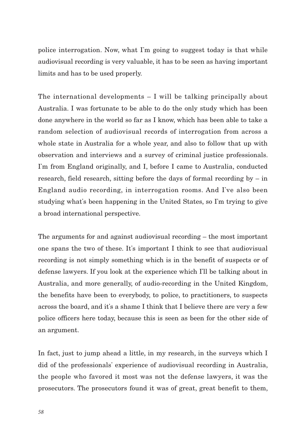police interrogation. Now, what I'm going to suggest today is that while audiovisual recording is very valuable, it has to be seen as having important limits and has to be used properly.

The international developments – I will be talking principally about Australia. I was fortunate to be able to do the only study which has been done anywhere in the world so far as I know, which has been able to take a random selection of audiovisual records of interrogation from across a whole state in Australia for a whole year, and also to follow that up with observation and interviews and a survey of criminal justice professionals. I'm from England originally, and I, before I came to Australia, conducted research, field research, sitting before the days of formal recording by  $-$  in England audio recording, in interrogation rooms. And I've also been studying what's been happening in the United States, so I'm trying to give a broad international perspective.

The arguments for and against audiovisual recording – the most important one spans the two of these. It's important I think to see that audiovisual recording is not simply something which is in the benefit of suspects or of defense lawyers. If you look at the experience which I'll be talking about in Australia, and more generally, of audio-recording in the United Kingdom, the benefits have been to everybody, to police, to practitioners, to suspects across the board, and it's a shame I think that I believe there are very a few police officers here today, because this is seen as been for the other side of an argument.

In fact, just to jump ahead a little, in my research, in the surveys which I did of the professionals' experience of audiovisual recording in Australia, the people who favored it most was not the defense lawyers, it was the prosecutors. The prosecutors found it was of great, great benefit to them,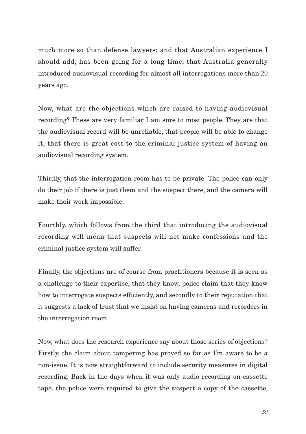much more so than defense lawyers; and that Australian experience I should add, has been going for a long time, that Australia generally introduced audiovisual recording for almost all interrogations more than 20 years ago.

Now, what are the objections which are raised to having audiovisual recording? These are very familiar I am sure to most people. They are that the audiovisual record will be unreliable, that people will be able to change it, that there is great cost to the criminal justice system of having an audiovisual recording system.

Thirdly, that the interrogation room has to be private. The police can only do their job if there is just them and the suspect there, and the camera will make their work impossible.

Fourthly, which follows from the third that introducing the audiovisual recording will mean that suspects will not make confessions and the criminal justice system will suffer.

Finally, the objections are of course from practitioners because it is seen as a challenge to their expertise, that they know, police claim that they know how to interrogate suspects efficiently, and secondly to their reputation that it suggests a lack of trust that we insist on having cameras and recorders in the interrogation room.

Now, what does the research experience say about those series of objections? Firstly, the claim about tampering has proved so far as I'm aware to be a non-issue. It is now straightforward to include security measures in digital recording. Back in the days when it was only audio recording on cassette tape, the police were required to give the suspect a copy of the cassette,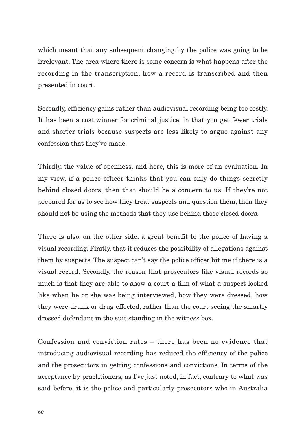which meant that any subsequent changing by the police was going to be irrelevant. The area where there is some concern is what happens after the recording in the transcription, how a record is transcribed and then presented in court.

Secondly, efficiency gains rather than audiovisual recording being too costly. It has been a cost winner for criminal justice, in that you get fewer trials and shorter trials because suspects are less likely to argue against any confession that they've made.

Thirdly, the value of openness, and here, this is more of an evaluation. In my view, if a police officer thinks that you can only do things secretly behind closed doors, then that should be a concern to us. If they're not prepared for us to see how they treat suspects and question them, then they should not be using the methods that they use behind those closed doors.

There is also, on the other side, a great benefit to the police of having a visual recording. Firstly, that it reduces the possibility of allegations against them by suspects. The suspect can't say the police officer hit me if there is a visual record. Secondly, the reason that prosecutors like visual records so much is that they are able to show a court a film of what a suspect looked like when he or she was being interviewed, how they were dressed, how they were drunk or drug effected, rather than the court seeing the smartly dressed defendant in the suit standing in the witness box.

Confession and conviction rates – there has been no evidence that introducing audiovisual recording has reduced the efficiency of the police and the prosecutors in getting confessions and convictions. In terms of the acceptance by practitioners, as I've just noted, in fact, contrary to what was said before, it is the police and particularly prosecutors who in Australia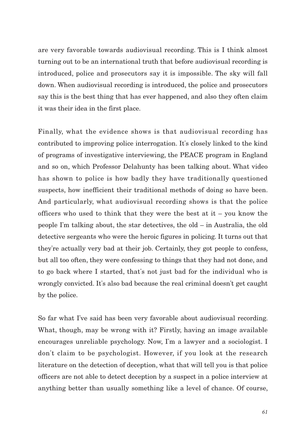are very favorable towards audiovisual recording. This is I think almost turning out to be an international truth that before audiovisual recording is introduced, police and prosecutors say it is impossible. The sky will fall down. When audiovisual recording is introduced, the police and prosecutors say this is the best thing that has ever happened, and also they often claim it was their idea in the first place.

Finally, what the evidence shows is that audiovisual recording has contributed to improving police interrogation. It's closely linked to the kind of programs of investigative interviewing, the PEACE program in England and so on, which Professor Delahunty has been talking about. What video has shown to police is how badly they have traditionally questioned suspects, how inefficient their traditional methods of doing so have been. And particularly, what audiovisual recording shows is that the police officers who used to think that they were the best at it – you know the people I'm talking about, the star detectives, the old – in Australia, the old detective sergeants who were the heroic figures in policing. It turns out that they're actually very bad at their job. Certainly, they got people to confess, but all too often, they were confessing to things that they had not done, and to go back where I started, that's not just bad for the individual who is wrongly convicted. It's also bad because the real criminal doesn't get caught by the police.

So far what I've said has been very favorable about audiovisual recording. What, though, may be wrong with it? Firstly, having an image available encourages unreliable psychology. Now, I'm a lawyer and a sociologist. I don't claim to be psychologist. However, if you look at the research literature on the detection of deception, what that will tell you is that police officers are not able to detect deception by a suspect in a police interview at anything better than usually something like a level of chance. Of course,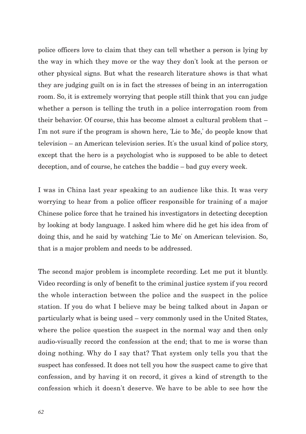police officers love to claim that they can tell whether a person is lying by the way in which they move or the way they don't look at the person or other physical signs. But what the research literature shows is that what they are judging guilt on is in fact the stresses of being in an interrogation room. So, it is extremely worrying that people still think that you can judge whether a person is telling the truth in a police interrogation room from their behavior. Of course, this has become almost a cultural problem that – I'm not sure if the program is shown here, ʻLie to Me,' do people know that television – an American television series. It's the usual kind of police story, except that the hero is a psychologist who is supposed to be able to detect deception, and of course, he catches the baddie – bad guy every week.

I was in China last year speaking to an audience like this. It was very worrying to hear from a police officer responsible for training of a major Chinese police force that he trained his investigators in detecting deception by looking at body language. I asked him where did he get his idea from of doing this, and he said by watching ʻLie to Me' on American television. So, that is a major problem and needs to be addressed.

The second major problem is incomplete recording. Let me put it bluntly. Video recording is only of benefit to the criminal justice system if you record the whole interaction between the police and the suspect in the police station. If you do what I believe may be being talked about in Japan or particularly what is being used – very commonly used in the United States, where the police question the suspect in the normal way and then only audio-visually record the confession at the end; that to me is worse than doing nothing. Why do I say that? That system only tells you that the suspect has confessed. It does not tell you how the suspect came to give that confession, and by having it on record, it gives a kind of strength to the confession which it doesn't deserve. We have to be able to see how the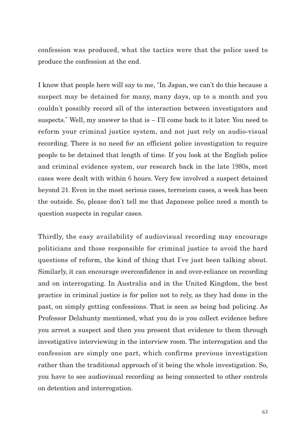confession was produced, what the tactics were that the police used to produce the confession at the end.

I know that people here will say to me, "In Japan, we can't do this because a suspect may be detained for many, many days, up to a month and you couldn't possibly record all of the interaction between investigators and suspects." Well, my answer to that is – I'll come back to it later. You need to reform your criminal justice system, and not just rely on audio-visual recording. There is no need for an efficient police investigation to require people to be detained that length of time. If you look at the English police and criminal evidence system, our research back in the late 1980s, most cases were dealt with within 6 hours. Very few involved a suspect detained beyond 24. Even in the most serious cases, terrorism cases, a week has been the outside. So, please don't tell me that Japanese police need a month to question suspects in regular cases.

Thirdly, the easy availability of audiovisual recording may encourage politicians and those responsible for criminal justice to avoid the hard questions of reform, the kind of thing that I've just been talking about. Similarly, it can encourage overconfidence in and over-reliance on recording and on interrogating. In Australia and in the United Kingdom, the best practice in criminal justice is for police not to rely, as they had done in the past, on simply getting confessions. That is seen as being bad policing. As Professor Delahunty mentioned, what you do is you collect evidence before you arrest a suspect and then you present that evidence to them through investigative interviewing in the interview room. The interrogation and the confession are simply one part, which confirms previous investigation rather than the traditional approach of it being the whole investigation. So, you have to see audiovisual recording as being connected to other controls on detention and interrogation.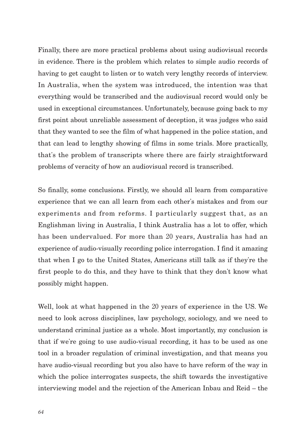Finally, there are more practical problems about using audiovisual records in evidence. There is the problem which relates to simple audio records of having to get caught to listen or to watch very lengthy records of interview. In Australia, when the system was introduced, the intention was that everything would be transcribed and the audiovisual record would only be used in exceptional circumstances. Unfortunately, because going back to my first point about unreliable assessment of deception, it was judges who said that they wanted to see the film of what happened in the police station, and that can lead to lengthy showing of films in some trials. More practically, that's the problem of transcripts where there are fairly straightforward problems of veracity of how an audiovisual record is transcribed.

So finally, some conclusions. Firstly, we should all learn from comparative experience that we can all learn from each other's mistakes and from our experiments and from reforms. I particularly suggest that, as an Englishman living in Australia, I think Australia has a lot to offer, which has been undervalued. For more than 20 years, Australia has had an experience of audio-visually recording police interrogation. I find it amazing that when I go to the United States, Americans still talk as if they're the first people to do this, and they have to think that they don't know what possibly might happen.

Well, look at what happened in the 20 years of experience in the US. We need to look across disciplines, law psychology, sociology, and we need to understand criminal justice as a whole. Most importantly, my conclusion is that if we're going to use audio-visual recording, it has to be used as one tool in a broader regulation of criminal investigation, and that means you have audio-visual recording but you also have to have reform of the way in which the police interrogates suspects, the shift towards the investigative interviewing model and the rejection of the American Inbau and Reid – the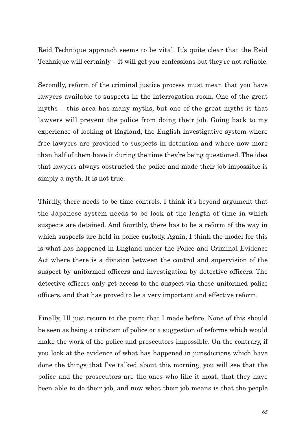Reid Technique approach seems to be vital. It's quite clear that the Reid Technique will certainly – it will get you confessions but they're not reliable.

Secondly, reform of the criminal justice process must mean that you have lawyers available to suspects in the interrogation room. One of the great myths – this area has many myths, but one of the great myths is that lawyers will prevent the police from doing their job. Going back to my experience of looking at England, the English investigative system where free lawyers are provided to suspects in detention and where now more than half of them have it during the time they're being questioned. The idea that lawyers always obstructed the police and made their job impossible is simply a myth. It is not true.

Thirdly, there needs to be time controls. I think it's beyond argument that the Japanese system needs to be look at the length of time in which suspects are detained. And fourthly, there has to be a reform of the way in which suspects are held in police custody. Again, I think the model for this is what has happened in England under the Police and Criminal Evidence Act where there is a division between the control and supervision of the suspect by uniformed officers and investigation by detective officers. The detective officers only get access to the suspect via those uniformed police officers, and that has proved to be a very important and effective reform.

Finally, I'll just return to the point that I made before. None of this should be seen as being a criticism of police or a suggestion of reforms which would make the work of the police and prosecutors impossible. On the contrary, if you look at the evidence of what has happened in jurisdictions which have done the things that I've talked about this morning, you will see that the police and the prosecutors are the ones who like it most, that they have been able to do their job, and now what their job means is that the people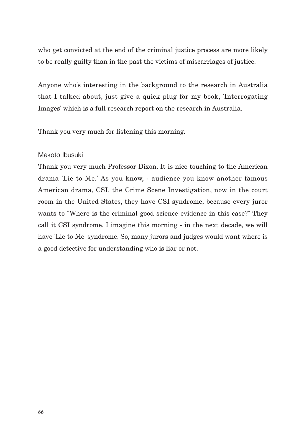who get convicted at the end of the criminal justice process are more likely to be really guilty than in the past the victims of miscarriages of justice.

Anyone who's interesting in the background to the research in Australia that I talked about, just give a quick plug for my book, ʻInterrogating Images' which is a full research report on the research in Australia.

Thank you very much for listening this morning.

## Makoto Ibusuki

Thank you very much Professor Dixon. It is nice touching to the American drama ʻLie to Me.' As you know, - audience you know another famous American drama, CSI, the Crime Scene Investigation, now in the court room in the United States, they have CSI syndrome, because every juror wants to "Where is the criminal good science evidence in this case?" They call it CSI syndrome. I imagine this morning - in the next decade, we will have ʻLie to Me' syndrome. So, many jurors and judges would want where is a good detective for understanding who is liar or not.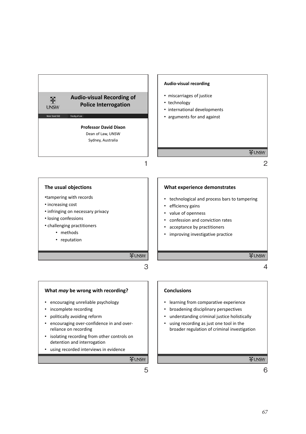

#### **The usual objections**

•tampering with records

- increasing cost
- infringing on necessary privacy
- losing confessions
- challenging practitioners
	- methods
	- reputation

#### **What experience demonstrates**

- technological and process bars to tampering
- efficiency gains
- value of openness
- confession and conviction rates
- acceptance by practitioners
- improving investigative practice

**WUNSW** 

4

#### **What** *may* **be wrong with recording?**

- encouraging unreliable psychology
- incomplete recording
- politically avoiding reform
- encouraging over-confidence in and overreliance on recording
- isolating recording from other controls on detention and interrogation
- using recorded interviews in evidence

**WUNSW** 

3

**FUNSW** 

#### **Conclusions**

- learning from comparative experience
- broadening disciplinary perspectives
- understanding criminal justice holistically
- using recording as just one tool in the broader regulation of criminal investigation

**WUNSW**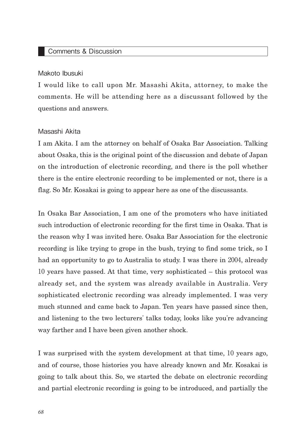## Comments & Discussion

### Makoto Ibusuki

I would like to call upon Mr. Masashi Akita, attorney, to make the comments. He will be attending here as a discussant followed by the questions and answers.

## Masashi Akita

I am Akita. I am the attorney on behalf of Osaka Bar Association. Talking about Osaka, this is the original point of the discussion and debate of Japan on the introduction of electronic recording, and there is the poll whether there is the entire electronic recording to be implemented or not, there is a flag. So Mr. Kosakai is going to appear here as one of the discussants.

In Osaka Bar Association, I am one of the promoters who have initiated such introduction of electronic recording for the first time in Osaka. That is the reason why I was invited here. Osaka Bar Association for the electronic recording is like trying to grope in the bush, trying to find some trick, so I had an opportunity to go to Australia to study. I was there in 2004, already 10 years have passed. At that time, very sophisticated – this protocol was already set, and the system was already available in Australia. Very sophisticated electronic recording was already implemented. I was very much stunned and came back to Japan. Ten years have passed since then, and listening to the two lecturers' talks today, looks like you're advancing way farther and I have been given another shock.

I was surprised with the system development at that time, 10 years ago, and of course, those histories you have already known and Mr. Kosakai is going to talk about this. So, we started the debate on electronic recording and partial electronic recording is going to be introduced, and partially the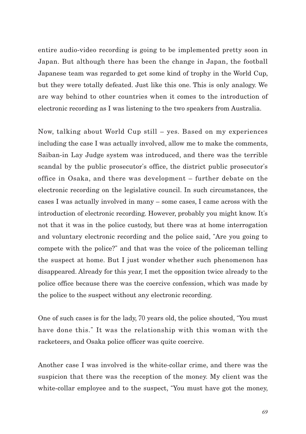entire audio-video recording is going to be implemented pretty soon in Japan. But although there has been the change in Japan, the football Japanese team was regarded to get some kind of trophy in the World Cup, but they were totally defeated. Just like this one. This is only analogy. We are way behind to other countries when it comes to the introduction of electronic recording as I was listening to the two speakers from Australia.

Now, talking about World Cup still – yes. Based on my experiences including the case I was actually involved, allow me to make the comments, Saiban-in Lay Judge system was introduced, and there was the terrible scandal by the public prosecutor's office, the district public prosecutor's office in Osaka, and there was development – further debate on the electronic recording on the legislative council. In such circumstances, the cases I was actually involved in many – some cases, I came across with the introduction of electronic recording. However, probably you might know. It's not that it was in the police custody, but there was at home interrogation and voluntary electronic recording and the police said, "Are you going to compete with the police?" and that was the voice of the policeman telling the suspect at home. But I just wonder whether such phenomenon has disappeared. Already for this year, I met the opposition twice already to the police office because there was the coercive confession, which was made by the police to the suspect without any electronic recording.

One of such cases is for the lady, 70 years old, the police shouted, "You must have done this." It was the relationship with this woman with the racketeers, and Osaka police officer was quite coercive.

Another case I was involved is the white-collar crime, and there was the suspicion that there was the reception of the money. My client was the white-collar employee and to the suspect, "You must have got the money,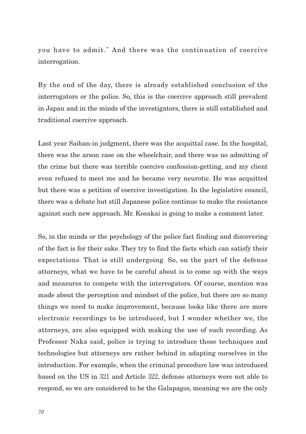you have to admit." And there was the continuation of coercive interrogation.

By the end of the day, there is already established conclusion of the interrogators or the police. So, this is the coercive approach still prevalent in Japan and in the minds of the investigators, there is still established and traditional coercive approach.

Last year Saiban-in judgment, there was the acquittal case. In the hospital, there was the arson case on the wheelchair, and there was no admitting of the crime but there was terrible coercive confession-getting, and my client even refused to meet me and he became very neurotic. He was acquitted but there was a petition of coercive investigation. In the legislative council, there was a debate but still Japanese police continue to make the resistance against such new approach. Mr. Kosakai is going to make a comment later.

So, in the minds or the psychology of the police fact finding and discovering of the fact is for their sake. They try to find the facts which can satisfy their expectations. That is still undergoing. So, on the part of the defense attorneys, what we have to be careful about is to come up with the ways and measures to compete with the interrogators. Of course, mention was made about the perception and mindset of the police, but there are so many things we need to make improvement, because looks like there are more electronic recordings to be introduced, but I wonder whether we, the attorneys, are also equipped with making the use of such recording. As Professor Naka said, police is trying to introduce those techniques and technologies but attorneys are rather behind in adapting ourselves in the introduction. For example, when the criminal procedure law was introduced based on the US in 321 and Article 322, defense attorneys were not able to respond, so we are considered to be the Galapagos, meaning we are the only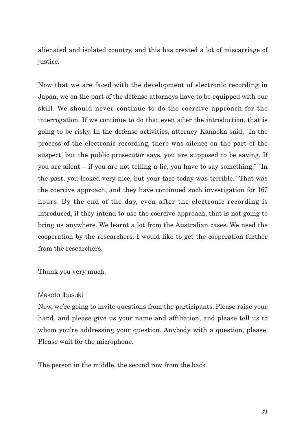alienated and isolated country, and this has created a lot of miscarriage of justice.

Now that we are faced with the development of electronic recording in Japan, we on the part of the defense attorneys have to be equipped with our skill. We should never continue to do the coercive approach for the interrogation. If we continue to do that even after the introduction, that is going to be risky. In the defense activities, attorney Kanaoka said, "In the process of the electronic recording, there was silence on the part of the suspect, but the public prosecutor says, you are supposed to be saying. If you are silent – if you are not telling a lie, you have to say something." "In the past, you looked very nice, but your face today was terrible." That was the coercive approach, and they have continued such investigation for 167 hours. By the end of the day, even after the electronic recording is introduced, if they intend to use the coercive approach, that is not going to bring us anywhere. We learnt a lot from the Australian cases. We need the cooperation by the researchers. I would like to get the cooperation further from the researchers.

Thank you very much.

## Makoto Ibusuki

Now, we're going to invite questions from the participants. Please raise your hand, and please give us your name and affiliation, and please tell us to whom you're addressing your question. Anybody with a question, please. Please wait for the microphone.

The person in the middle, the second row from the back.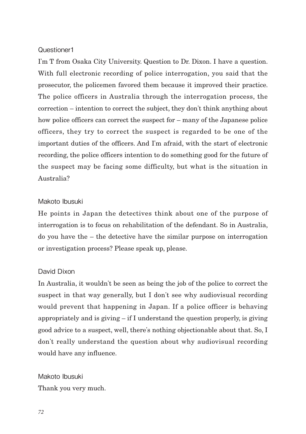## Questioner1

I'm T from Osaka City University. Question to Dr. Dixon. I have a question. With full electronic recording of police interrogation, you said that the prosecutor, the policemen favored them because it improved their practice. The police officers in Australia through the interrogation process, the correction – intention to correct the subject, they don't think anything about how police officers can correct the suspect for – many of the Japanese police officers, they try to correct the suspect is regarded to be one of the important duties of the officers. And I'm afraid, with the start of electronic recording, the police officers intention to do something good for the future of the suspect may be facing some difficulty, but what is the situation in Australia?

## Makoto Ibusuki

He points in Japan the detectives think about one of the purpose of interrogation is to focus on rehabilitation of the defendant. So in Australia, do you have the – the detective have the similar purpose on interrogation or investigation process? Please speak up, please.

## David Dixon

In Australia, it wouldn't be seen as being the job of the police to correct the suspect in that way generally, but I don't see why audiovisual recording would prevent that happening in Japan. If a police officer is behaving appropriately and is giving  $-$  if I understand the question properly, is giving good advice to a suspect, well, there's nothing objectionable about that. So, I don't really understand the question about why audiovisual recording would have any influence.

Makoto Ibusuki Thank you very much.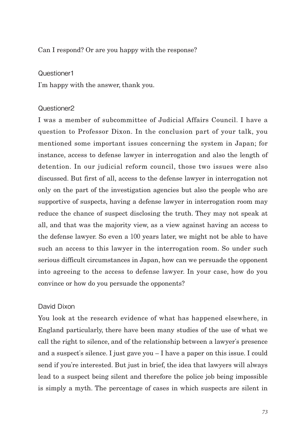## Can I respond? Or are you happy with the response?

#### Questioner1

I'm happy with the answer, thank you.

#### Questioner2

I was a member of subcommittee of Judicial Affairs Council. I have a question to Professor Dixon. In the conclusion part of your talk, you mentioned some important issues concerning the system in Japan; for instance, access to defense lawyer in interrogation and also the length of detention. In our judicial reform council, those two issues were also discussed. But first of all, access to the defense lawyer in interrogation not only on the part of the investigation agencies but also the people who are supportive of suspects, having a defense lawyer in interrogation room may reduce the chance of suspect disclosing the truth. They may not speak at all, and that was the majority view, as a view against having an access to the defense lawyer. So even a 100 years later, we might not be able to have such an access to this lawyer in the interrogation room. So under such serious difficult circumstances in Japan, how can we persuade the opponent into agreeing to the access to defense lawyer. In your case, how do you convince or how do you persuade the opponents?

## David Dixon

You look at the research evidence of what has happened elsewhere, in England particularly, there have been many studies of the use of what we call the right to silence, and of the relationship between a lawyer's presence and a suspect's silence. I just gave you – I have a paper on this issue. I could send if you're interested. But just in brief, the idea that lawyers will always lead to a suspect being silent and therefore the police job being impossible is simply a myth. The percentage of cases in which suspects are silent in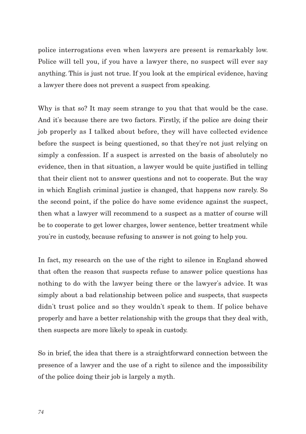police interrogations even when lawyers are present is remarkably low. Police will tell you, if you have a lawyer there, no suspect will ever say anything. This is just not true. If you look at the empirical evidence, having a lawyer there does not prevent a suspect from speaking.

Why is that so? It may seem strange to you that that would be the case. And it's because there are two factors. Firstly, if the police are doing their job properly as I talked about before, they will have collected evidence before the suspect is being questioned, so that they're not just relying on simply a confession. If a suspect is arrested on the basis of absolutely no evidence, then in that situation, a lawyer would be quite justified in telling that their client not to answer questions and not to cooperate. But the way in which English criminal justice is changed, that happens now rarely. So the second point, if the police do have some evidence against the suspect, then what a lawyer will recommend to a suspect as a matter of course will be to cooperate to get lower charges, lower sentence, better treatment while you're in custody, because refusing to answer is not going to help you.

In fact, my research on the use of the right to silence in England showed that often the reason that suspects refuse to answer police questions has nothing to do with the lawyer being there or the lawyer's advice. It was simply about a bad relationship between police and suspects, that suspects didn't trust police and so they wouldn't speak to them. If police behave properly and have a better relationship with the groups that they deal with, then suspects are more likely to speak in custody.

So in brief, the idea that there is a straightforward connection between the presence of a lawyer and the use of a right to silence and the impossibility of the police doing their job is largely a myth.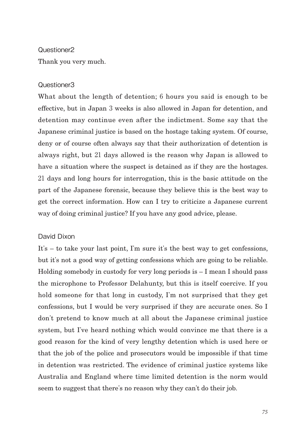#### Questioner2

Thank you very much.

## Questioner3

What about the length of detention; 6 hours you said is enough to be effective, but in Japan 3 weeks is also allowed in Japan for detention, and detention may continue even after the indictment. Some say that the Japanese criminal justice is based on the hostage taking system. Of course, deny or of course often always say that their authorization of detention is always right, but 21 days allowed is the reason why Japan is allowed to have a situation where the suspect is detained as if they are the hostages. 21 days and long hours for interrogation, this is the basic attitude on the part of the Japanese forensic, because they believe this is the best way to get the correct information. How can I try to criticize a Japanese current way of doing criminal justice? If you have any good advice, please.

## David Dixon

It's – to take your last point, I'm sure it's the best way to get confessions, but it's not a good way of getting confessions which are going to be reliable. Holding somebody in custody for very long periods  $is - I$  mean I should pass the microphone to Professor Delahunty, but this is itself coercive. If you hold someone for that long in custody, I'm not surprised that they get confessions, but I would be very surprised if they are accurate ones. So I don't pretend to know much at all about the Japanese criminal justice system, but I've heard nothing which would convince me that there is a good reason for the kind of very lengthy detention which is used here or that the job of the police and prosecutors would be impossible if that time in detention was restricted. The evidence of criminal justice systems like Australia and England where time limited detention is the norm would seem to suggest that there's no reason why they can't do their job.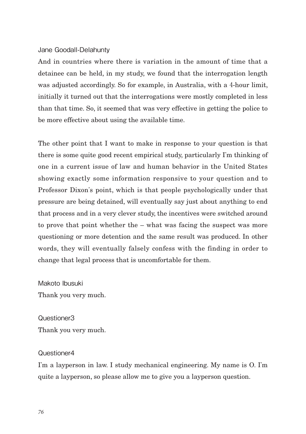## Jane Goodall-Delahunty

And in countries where there is variation in the amount of time that a detainee can be held, in my study, we found that the interrogation length was adjusted accordingly. So for example, in Australia, with a 4-hour limit, initially it turned out that the interrogations were mostly completed in less than that time. So, it seemed that was very effective in getting the police to be more effective about using the available time.

The other point that I want to make in response to your question is that there is some quite good recent empirical study, particularly I'm thinking of one in a current issue of law and human behavior in the United States showing exactly some information responsive to your question and to Professor Dixon's point, which is that people psychologically under that pressure are being detained, will eventually say just about anything to end that process and in a very clever study, the incentives were switched around to prove that point whether the – what was facing the suspect was more questioning or more detention and the same result was produced. In other words, they will eventually falsely confess with the finding in order to change that legal process that is uncomfortable for them.

Makoto Ibusuki Thank you very much.

Questioner3 Thank you very much.

## Questioner4

I'm a layperson in law. I study mechanical engineering. My name is O. I'm quite a layperson, so please allow me to give you a layperson question.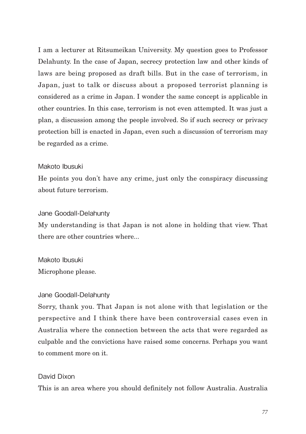I am a lecturer at Ritsumeikan University. My question goes to Professor Delahunty. In the case of Japan, secrecy protection law and other kinds of laws are being proposed as draft bills. But in the case of terrorism, in Japan, just to talk or discuss about a proposed terrorist planning is considered as a crime in Japan. I wonder the same concept is applicable in other countries. In this case, terrorism is not even attempted. It was just a plan, a discussion among the people involved. So if such secrecy or privacy protection bill is enacted in Japan, even such a discussion of terrorism may be regarded as a crime.

## Makoto Ibusuki

He points you don't have any crime, just only the conspiracy discussing about future terrorism.

#### Jane Goodall-Delahunty

My understanding is that Japan is not alone in holding that view. That there are other countries where...

## Makoto Ibusuki

Microphone please.

#### Jane Goodall-Delahunty

Sorry, thank you. That Japan is not alone with that legislation or the perspective and I think there have been controversial cases even in Australia where the connection between the acts that were regarded as culpable and the convictions have raised some concerns. Perhaps you want to comment more on it.

#### David Dixon

This is an area where you should definitely not follow Australia. Australia